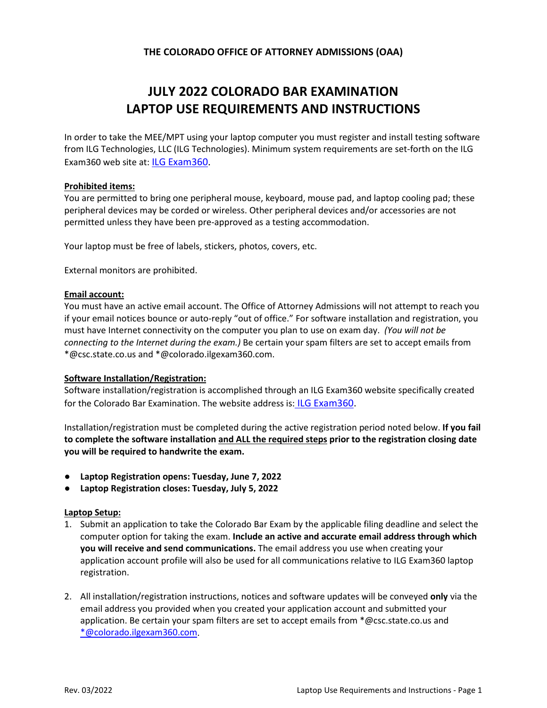# **JULY 2022 COLORADO BAR EXAMINATION LAPTOP USE REQUIREMENTS AND INSTRUCTIONS**

In order to take the MEE/MPT using your laptop computer you must register and install testing software from ILG Technologies, LLC (ILG Technologies). Minimum system requirements are set-forth on the ILG Exam360 web site at: [ILG Exam360](https://colorado.ilgexam360.com/home.action).

# **Prohibited items:**

You are permitted to bring one peripheral mouse, keyboard, mouse pad, and laptop cooling pad; these peripheral devices may be corded or wireless. Other peripheral devices and/or accessories are not permitted unless they have been pre-approved as a testing accommodation.

Your laptop must be free of labels, stickers, photos, covers, etc.

External monitors are prohibited.

#### **Email account:**

You must have an active email account. The Office of Attorney Admissions will not attempt to reach you if your email notices bounce or auto-reply "out of office." For software installation and registration, you must have Internet connectivity on the computer you plan to use on exam day. *(You will not be connecting to the Internet during the exam.)* Be certain your spam filters are set to accept emails from \*@csc.state.co.us and \*@colorado.ilgexam360.com.

## **Software Installation/Registration:**

Software installation/registration is accomplished through an ILG Exam360 website specifically created for the Colorado Bar Examination. The website address is: [ILG Exam360.](https://colorado.ilgexam360.com/home.action)

Installation/registration must be completed during the active registration period noted below. **If you fail to complete the software installation and ALL the required steps prior to the registration closing date you will be required to handwrite the exam.**

- **Laptop Registration opens: Tuesday, June 7, 2022**
- **Laptop Registration closes: Tuesday, July 5, 2022**

#### **Laptop Setup:**

- 1. Submit an application to take the Colorado Bar Exam by the applicable filing deadline and select the computer option for taking the exam. **Include an active and accurate email address through which you will receive and send communications.** The email address you use when creating your application account profile will also be used for all communications relative to ILG Exam360 laptop registration.
- 2. All installation/registration instructions, notices and software updates will be conveyed **only** via the email address you provided when you created your application account and submitted your application. Be certain your spam filters are set to accept emails from \*@csc.state.co.us and [\\*@colorado.ilgexam360.com.](mailto:*@colorado.ilgexam360.com)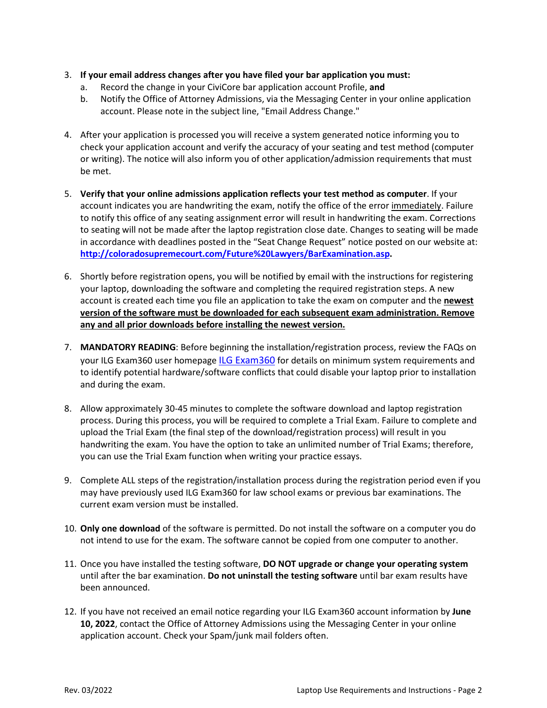- 3. **If your email address changes after you have filed your bar application you must:**
	- a. Record the change in your CiviCore bar application account Profile, **and**
	- b. Notify the Office of Attorney Admissions, via the Messaging Center in your online application account. Please note in the subject line, "Email Address Change."
- 4. After your application is processed you will receive a system generated notice informing you to check your application account and verify the accuracy of your seating and test method (computer or writing). The notice will also inform you of other application/admission requirements that must be met.
- 5. **Verify that your online admissions application reflects your test method as computer**. If your account indicates you are handwriting the exam, notify the office of the error immediately. Failure to notify this office of any seating assignment error will result in handwriting the exam. Corrections to seating will not be made after the laptop registration close date. Changes to seating will be made in accordance with deadlines posted in the "Seat Change Request" notice posted on our website at: **[http://coloradosupremecourt.com/Future%20Lawyers/BarExamination.asp.](http://coloradosupremecourt.com/Future%20Lawyers/BarExamination.asp)**
- 6. Shortly before registration opens, you will be notified by email with the instructions for registering your laptop, downloading the software and completing the required registration steps. A new account is created each time you file an application to take the exam on computer and the **newest version of the software must be downloaded for each subsequent exam administration. Remove any and all prior downloads before installing the newest version.**
- 7. **MANDATORY READING**: Before beginning the installation/registration process, review the FAQs on your ILG Exam360 user homepage [ILG Exam360](https://colorado.ilgexam360.com/home.action) for details on minimum system requirements and to identify potential hardware/software conflicts that could disable your laptop prior to installation and during the exam.
- 8. Allow approximately 30-45 minutes to complete the software download and laptop registration process. During this process, you will be required to complete a Trial Exam. Failure to complete and upload the Trial Exam (the final step of the download/registration process) will result in you handwriting the exam. You have the option to take an unlimited number of Trial Exams; therefore, you can use the Trial Exam function when writing your practice essays.
- 9. Complete ALL steps of the registration/installation process during the registration period even if you may have previously used ILG Exam360 for law school exams or previous bar examinations. The current exam version must be installed.
- 10. **Only one download** of the software is permitted. Do not install the software on a computer you do not intend to use for the exam. The software cannot be copied from one computer to another.
- 11. Once you have installed the testing software, **DO NOT upgrade or change your operating system**  until after the bar examination. **Do not uninstall the testing software** until bar exam results have been announced.
- 12. If you have not received an email notice regarding your ILG Exam360 account information by **June 10, 2022**, contact the Office of Attorney Admissions using the Messaging Center in your online application account. Check your Spam/junk mail folders often.